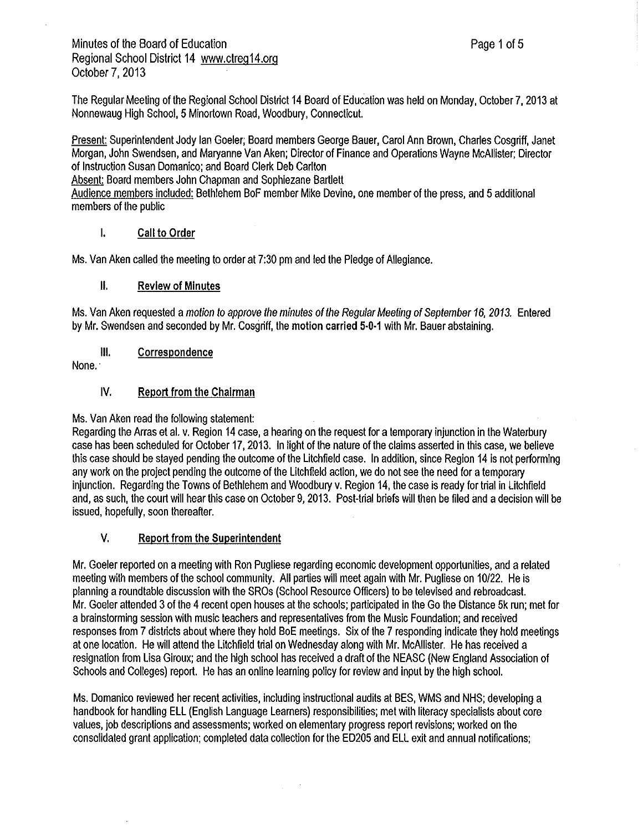The Regular Meeting of the Regional School District 14 Board of Education was held on Monday, October 7, 2013 at Nonnewaug High School, 5Minortown Road, Woodbury, Connecticut.

Present: Superintendent Jody Ian Goeler; Board members George Bauer, Carol Ann Brown, Charles Cosgriff, Janet Morgan, John Swendsen, and Maryanne Van Aken; Director of Finance and Operations Wayne McAllister: Director of Instruction Susan Domanico; and Board Clerk Deb Carlton

Absent: Board members John Chapman and Sophiezane Bartlett

Audience members included: Bethlehem BoF member Mike Devine, one member of the press, and 5additional members of the public

## I. Call **to Order**

Ms. Van Aken called the meeting to order at 7:30 pm and led the Pledge of Allegiance.

#### II. Review of Minutes

Ms. Van Aken requested amotion to approve the minutes of the Regular Meeting of September 16, 2013. Entered by Mr. Swendsen and seconded by Mr. Cosgriff, the motion carried 5-0-1 with Mr. Bauer abstaining.

Ill. Correspondence

None.·

#### IV. Report from the Chairman

Ms. Van Aken read the following statement:

Regarding the Arras et al. v. Region 14 case, a hearing on the request for a temporary injunction in the Waterbury case has been scheduled for October 17, 2013. In light of the nature of the claims asserted in this case, we believe this case should be stayed pending the outcome of the Litchfield case. In addition, since Region 14 is not performing any work on the project pending the outcome of the Litchfield action, we do not see the need for atemporary injunction. Regarding the Towns of Bethlehem and Woodbury v. Region 14, the case is ready for trial in Litchfield and, as such, the court will hear this case on October 9, 2013. Post-trial briefs will then be filed and adecision will be issued, hopefully, soon thereafter.

## V. Report from the Superintendent

Mr. Goeler reported on ameeting with Ron Pugliese regarding economic development opportunities, and arelated meeting with members of the school community. All parties will meet again with Mr. Pugliese on 10/22. He is planning aroundtable discussion with the SROs (School Resource Officers) to be televised and rebroadcast. Mr. Goeler attended 3of the 4 recent open houses at the schools; participated in the Go the Distance 5k run; met for a brainstorming session with music teachers and representatives from the Music Foundation; and received responses from 7districts about where they hold BoE meetings. Six of the 7 responding indicate they hold meetings at one location. He will attend the Litchfield trial on Wednesday along with Mr. McAllister. He has received a resignation from Lisa Giroux; and the high school has received a draft of the NEASC (New England Association of Schools and Colleges) report. He has an online learning policy for review and input by the high school.

Ms. Domanico reviewed her recent activities, including instructional audits at BES, WMS and NHS; developing a handbook for handling ELL (English Language Learners) responsibilities; met with literacy specialists about core values, job descriptions and assessments; worked on elementary progress report revisions; worked on the consolidated grant application; completed data collection for the ED205 and ELL exit and annual notifications;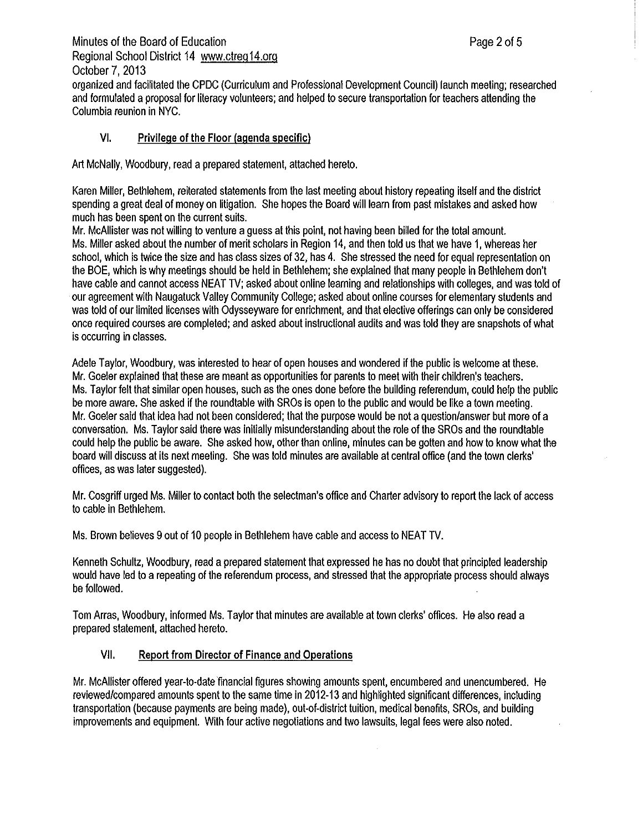Minutes of the Board of Education **Page 2** of 5 Regional School District 14 <www.ctreg14.org> October 7, 2013 organized and facilitated the CPDC (Curriculum and Professional Development Council) launch meeting; researched and formulated aproposal for literacy volunteers; and helped to secure transportation for teachers attending the Columbia reunion in NYC.

## VI. Privilege of the Floor (agenda specific)

Art McNally, Woodbury, read a prepared statement, attached hereto.

Karen Miller, Bethlehem, reiterated statements from the last meeting about history repeating itself and the district spending a great deal of money on litigation. She hopes the Board will learn from past mistakes and asked how much has been spent on the current suits.

Mr. McAllister was not willing to venture aguess at this point, not having been billed for the total amount. Ms. Miller asked about the number of merit scholars in Region 14, and then told us that we have 1, whereas her school, which is twice the size and has class sizes of 32, has 4. She stressed the need for equal representation on the BOE, which is why meetings should be held in Bethlehem; she explained that many people in Bethlehem don't have cable and cannot access NEAT TV; asked about online learning and relationships with colleges, and was told of our agreement with Naugatuck Valley Community College; asked about online courses for elementary students and was told of our limited licenses with Odysseyware for enrichment, and that elective offerings can only be considered once required courses are completed; and asked about instructional audits and was told they are snapshots of what is occurring in classes.

Adele Taylor, Woodbury, was interested to hear of open houses and wondered if the public is welcome at these. Mr. Goeler explained that these are meant as opportunities for parents to meet with their children's teachers. Ms. Taylor felt that similar open houses, such as the ones done before the building referendum, could help the public be more aware. She asked if the roundtable with SROs is open to the public and would be like atown meeting. Mr. Goeler said that idea had not been considered; that the purpose would be not aquestion/answer but more of a conversation. Ms. Taylor said there was initially misunderstanding about the role of the SROs and the roundtable could help the public be aware. She asked how, other than online, minutes can be gotten and how to know what the board will discuss at its next meeting. She was told minutes are available at central office (and the town clerks' offices, as was later suggested).

Mr. Cosgriff urged Ms. Miller to contact both the selectman's office and Charter advisory to report the lack of access to cable in Bethlehem.

Ms. Brown believes 9out of 10 people in Bethlehem have cable and access to NEAT TV.

Kenneth Schultz, Woodbury, read aprepared statement that expressed he has no doubt that principled leadership would have led to arepeating of the referendum process, and stressed that the appropriate process should always be followed.

Tom Arras, Woodbury, informed Ms. Taylor that minutes are available at town clerks' offices. He also read a prepared statement, attached hereto.

## VII. Report from Director of Finance and Operations

Mr. McAllister offered year-to-date financial figures showing amounts spent, encumbered and unencumbered. He reviewed/compared amounts spent to the same time in 2012-13 and highlighted significant differences, including transportation (because payments are being made), out-of-district tuition, medical benefits, SROs, and building improvements and equipment. With four active negotiations and two lawsuits, legal fees were also noted.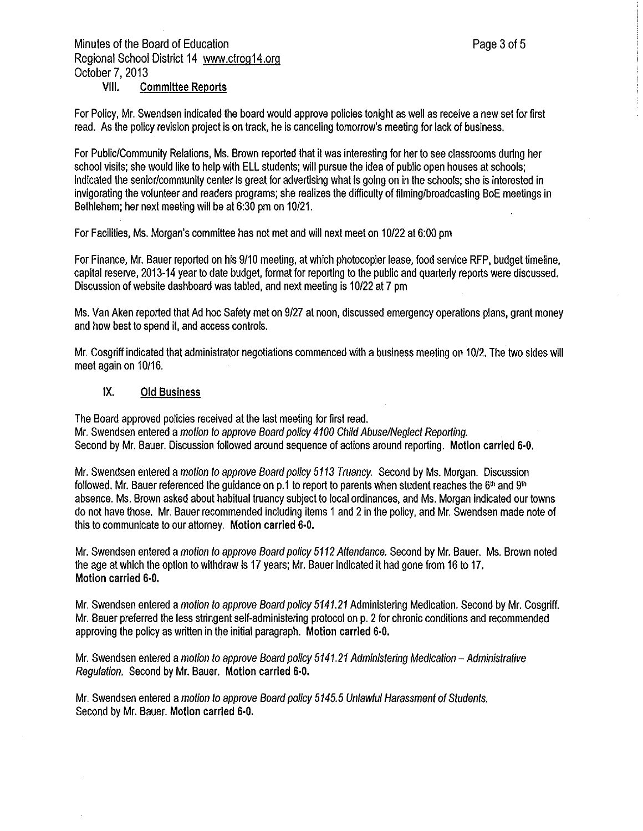# Minutes of the Board of Education **Page 3 of 5** and 2 of 5 Regional School District 14 <www.ctreq14.org> October 7, 2013

## **VIII. Committee Reports**

For Policy, Mr. Swendsen indicated the board would approve policies tonight as well as receive anew set for first read. As the policy revision project is on track, he is canceling tomorrow's meeting for lack of business.

For Public/Community Relations, Ms. Brown reported that it was interesting for her to see classrooms during her school visits; she would like to help with ELL students; will pursue the idea of public open houses at schools; indicated the senior/community center is great for advertising what is going on in the schools; she is interested in invigorating the volunteer and readers programs; she realizes the difficulty of filming/broadcasting BoE meetings in Bethlehem; her next meeting will be at 6:30 pm on 10/21.

For Facilities, Ms. Morgan's committee has not met and will next meet on 10/22 at 6:00 pm

For Finance, Mr. Bauer reported on his 9/10 meeting, at which photocopier lease, food service RFP, budget timeline, capital reserve, 2013-14 year to date budget, format for reporting to the public and quarterly reports were discussed. Discussion of website dashboard was tabled, and next meeting is 10/22 at 7 pm

Ms. Van Aken reported that Ad hoc Safety met on 9/27 at noon, discussed emergency operations plans, grant money and how best to spend it, and access controls.

Mr. Cosgriff indicated that administrator negotiations commenced with abusiness meeting on 10/2. The two sides **will**  meet again on 10/16.

#### **IX. Old Business**

The Board approved policies received at the last meeting for first read. Mr. Swendsen entered amotion to approve Board policy 4100 Child Abuse/Neglect Reporting. Second by Mr. Bauer. Discussion followed around sequence of actions around reporting. **Motion carried 6-0,** 

Mr. Swendsen entered amotion to approve Board policy 5113 Truancy. Second by Ms. Morgan. Discussion followed. Mr. Bauer referenced the guidance on p.1 to report to parents when student reaches the  $6<sup>th</sup>$  and  $9<sup>th</sup>$ absence. Ms. Brown asked about habitual truancy subject to local ordinances, and Ms. Morgan indicated our towns do not have those. Mr. Bauer recommended including items 1and 2in the policy, and Mr. Swendsen made note of this to communicate to our attorney. Motion carried 6-0.

Mr. Swendsen entered amotion to approve Board policy 5112 Attendance. Second by Mr. Bauer. Ms. Brown noted the age at which the option to withdraw is 17 years; Mr. Bauer indicated it had gone from 16 to 17. **Motion carried 6-0.** 

Mr. Swendsen entered a motion to approve Board policy 5141.21 Administering Medication. Second by Mr. Cosgriff. Mr. Bauer preferred the less stringent self-administering protocol on p. 2for chronic conditions and recommended approving the policy as written in the initial paragraph. Motion carried 6-0.

Mr. Swendsen entered a motion to approve Board policy 5141.21 Administering Medication - Administrative Regulation. Second by Mr. Bauer. Motion carried 6-0.

Mr. Swendsen entered amotion to approve Board policy 5145.5 Unlawful Harassment of Students. Second by Mr. Bauer. Motion carried 6-0.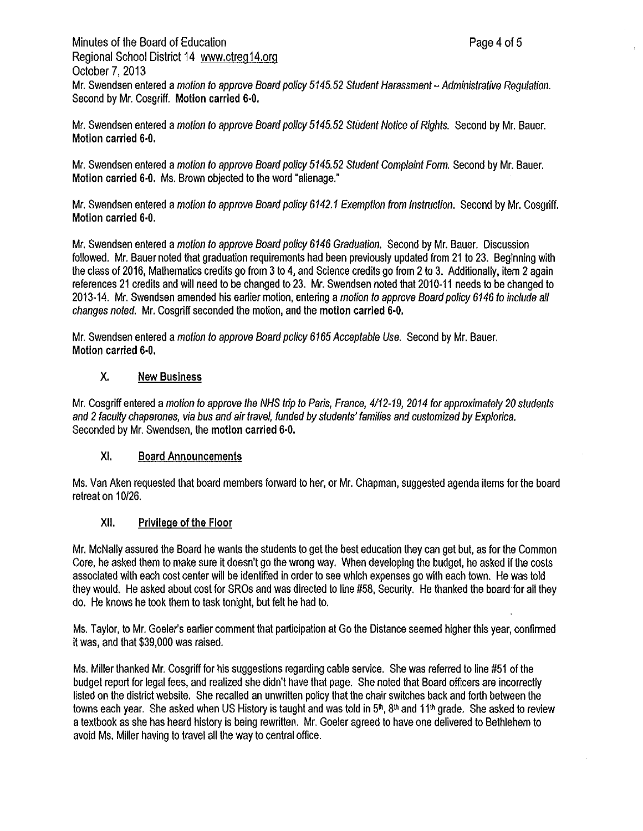Minutes of the Board of Education **Page 4 of 5** and  $P_1$  and  $P_2$  and  $P_3$  and  $P_4$  of 5 Regional School District 14 <www.ctreg14.org> October 7, 2013 Mr. Swendsen entered amotion to approve Board policy *5145.52* Student Harassment-Administrative Regulation. Second by Mr. Cosgriff. **Motion carried 6-0.** 

Mr. Swendsen entered amotion to approve Board policy *5145.52* Student Notice of Rights. Second by Mr. Bauer. **Motion carried 6-0.** 

Mr. Swendsen entered amotion to approve Board policy *5145.52* Student Complaint Form. Second by Mr. Bauer. **Motion carried 6-0.** Ms. Brown objected to the word "alienage.'

Mr. Swendsen entered amotion to approve Board policy *6142.1* Exemption from Instruction. Second by Mr. Cosgriff. **Motion carried 6-0.** 

Mr. Swendsen entered amotion to approve Board policy *6146* Graduation. Second by Mr. Bauer. Discussion followed. Mr. Bauer noted that graduation requirements had been previously updated from 21 to 23. Beginning with the class of 2016, Mathematics credits go from 3 to 4, and Science credits go from 2 to 3. Additionally, item 2 again references 21 credits and will need to be changed to 23. Mr. Swendsen noted that 2010-11 needs to be changed to 2013-14. Mr. Swendsen amended his earlier motion, entering amotion to approve Board policy *6146* to include all changes noted. Mr. Cosgriff seconded the motion, and the motion carried 6-0.

Mr. Swendsen entered amotion to approve Board policy *6165* Acceptable Use. Second by Mr. Bauer. **Motion carried 6-0.** 

## **X. New Business**

Mr. Cosgriff entered amotion to approve the NHS trip to Paris, France, *4112-19, 2014* for approximately *20* students and 2faculty chaperones, via bus and air travel, funded by students' families and customized by Explorica. Seconded by Mr. Swendsen, the motion carried 6-0.

### XI. Board Announcements

Ms. Van Aken requested that board members forward to her, or Mr. Chapman, suggested agenda items for the board retreat on 10/26.

## XII. Privilege of the Floor

Mr. McNally assured the Board he wants the students to get the best education they can get but, as for the Common Core, he asked them to make sure it doesn't go the wrong way. When developing the budget, he asked if the costs associated with each cost center will be identified in order to see which expenses go with each town. He was told they would. He asked about cost for SROs and was directed to line #58, Security. He thanked the board for all they do. He knows he took them to task tonight, but felt he had to.

Ms. Taylor, to Mr. Goeler's earlier comment that participation at Go the Distance seemed higher this year, confirmed it was, and that \$39,000 was raised.

Ms. Miller thanked Mr. Cosgriff for his suggestions regarding cable service. She was referred to line #51 of the budget report for legal fees, and realized she didn't have that page. She noted that Board officers are incorrectly listed on the district website. She recalled an unwritten policy that the chair switches back and forth between the towns each year. She asked when US History is taught and was told in  $5<sup>th</sup>$ ,  $8<sup>th</sup>$  and 11<sup>th</sup> grade. She asked to review atextbook as she has heard history is being rewritten. Mr. Goeler agreed to have one delivered to Bethlehem to avoid Ms. Miller having to travel all the way to central office.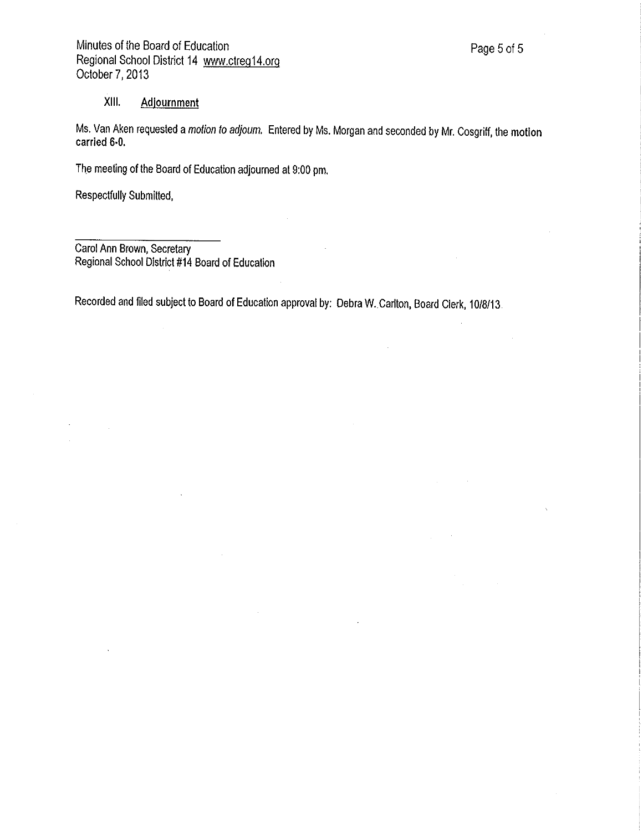## XIII. Adjournment

Ms. Van Aken requested a motion to adjoum. Entered by Ms. Morgan and seconded by Mr. Cosgriff, the motion carried 6-0.

The meeting of the Board of Education adjourned at 9:00 pm.

Respectfully Submitted,

Carol Ann Brown, Secretary Regional School District #14 Board of Education

Recorded and filed subject to Board of Education approval by: Debra W. Carlton, Board Clerk, 10/8/13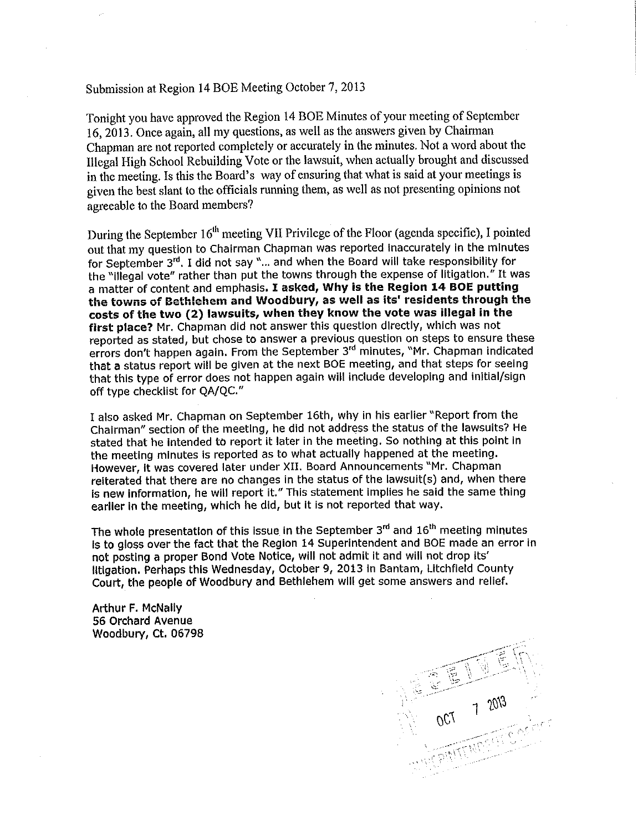# Submission at Region 14 BOE Meeting October 7, 2013

Tonight you have approved the Region 14 BOE Minutes of your meeting of September 16, 2013. Once again, all my questions, as well as the answers given by Chairman Chapman are not reported completely or accurately in the minutes. Not a word about the Illegal High School Rebuilding Vote or the lawsuit, when actually brought and discussed in the meeting. Is this the Board's way of ensuring that what is said at your meetings is given the best slant to the officials running them, as well as not presenting opinions not agreeable to the Board members?

During the September 16<sup>th</sup> meeting VII Privilege of the Floor (agenda specific), I pointed out that my question to Chairman Chapman was reported Inaccurately in the minutes for September 3rd. I did not say "... and when the Board will take responsibility for the "Illegal vote" rather than put the towns through the expense of litigation." It was a matter of content and emphasis. I **asked, Why is the Region 14 BOE putting the towns of Bethlehem and Woodbury, as well as its' residents through the costs of the two (2) lawsuits, when they know the vote was illegal in the first place?** Mr. Chapman did not answer this question directly, which was not reported as stated, but chose to answer a previous question on steps to ensure these errors don't happen again. From the September 3<sup>rd</sup> minutes, "Mr. Chapman indicated that a status report will be given at the next BOE meeting, and that steps for seeing that this type of error does not happen again will include developing and initial/sign off type checklist for QA/QC."

I also asked Mr. Chapman on September 16th, why in his earlier "Report from the Chairman" section of the meeting, he did not address the status of the lawsuits? He stated that he intended to report It later in the meeting. So nothing at this point in the meeting minutes is reported as to what actually happened at the meeting. However, It was covered later under XII. Board Announcements "Mr. Chapman reiterated that there are no changes in the status of the lawsult(s) and, when there is new Information, he will report it." This statement Implies he said the same thing earlier in the meeting, which he did, but It is not reported that way.

The whole presentation of this Issue in the September 3rd and 16<sup>th</sup> meeting minutes Is to gloss over the fact that the Region 14 Superintendent and BOE made an error in not posting a proper Bond Vote Notice, will not admit it and will not drop Its' litigation. Perhaps this Wednesday, October 9, 2013 In Bantam, Litchfield County Court, the people of Woodbury and Bethlehem will get some answers and relief.

Arthur F. McNally 56 Orchard Avenue Woodbury, Ct. 06798